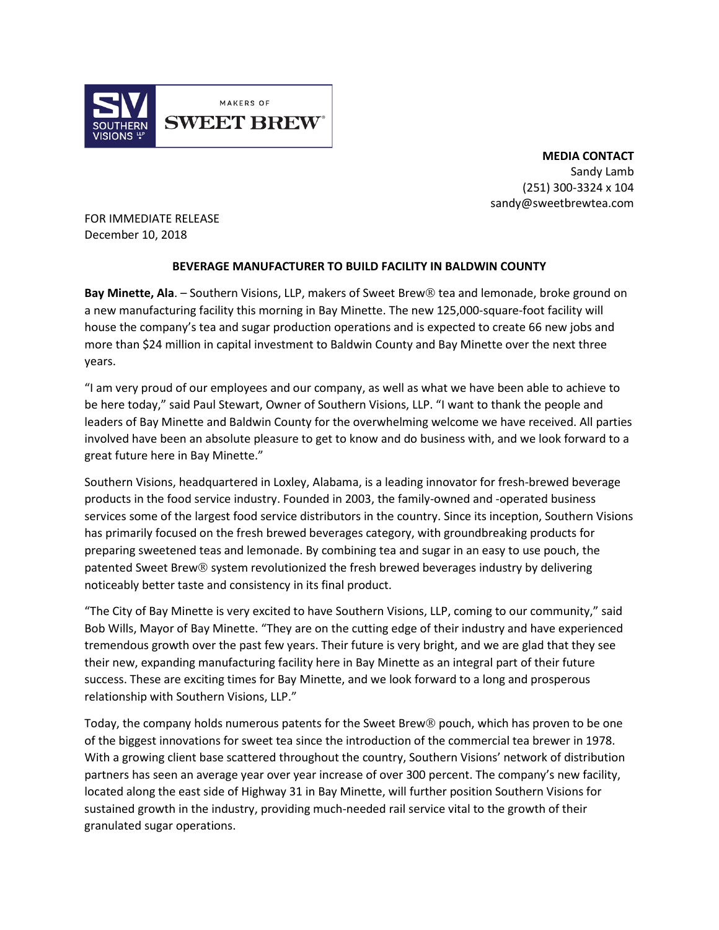

**MEDIA CONTACT** Sandy Lamb (251) 300-3324 x 104 sandy@sweetbrewtea.com

FOR IMMEDIATE RELEASE December 10, 2018

## **BEVERAGE MANUFACTURER TO BUILD FACILITY IN BALDWIN COUNTY**

Bay Minette, Ala. – Southern Visions, LLP, makers of Sweet Brew<sup>®</sup> tea and lemonade, broke ground on a new manufacturing facility this morning in Bay Minette. The new 125,000-square-foot facility will house the company's tea and sugar production operations and is expected to create 66 new jobs and more than \$24 million in capital investment to Baldwin County and Bay Minette over the next three years.

"I am very proud of our employees and our company, as well as what we have been able to achieve to be here today," said Paul Stewart, Owner of Southern Visions, LLP. "I want to thank the people and leaders of Bay Minette and Baldwin County for the overwhelming welcome we have received. All parties involved have been an absolute pleasure to get to know and do business with, and we look forward to a great future here in Bay Minette."

Southern Visions, headquartered in Loxley, Alabama, is a leading innovator for fresh-brewed beverage products in the food service industry. Founded in 2003, the family-owned and -operated business services some of the largest food service distributors in the country. Since its inception, Southern Visions has primarily focused on the fresh brewed beverages category, with groundbreaking products for preparing sweetened teas and lemonade. By combining tea and sugar in an easy to use pouch, the patented Sweet Brew® system revolutionized the fresh brewed beverages industry by delivering noticeably better taste and consistency in its final product.

"The City of Bay Minette is very excited to have Southern Visions, LLP, coming to our community," said Bob Wills, Mayor of Bay Minette. "They are on the cutting edge of their industry and have experienced tremendous growth over the past few years. Their future is very bright, and we are glad that they see their new, expanding manufacturing facility here in Bay Minette as an integral part of their future success. These are exciting times for Bay Minette, and we look forward to a long and prosperous relationship with Southern Visions, LLP."

Today, the company holds numerous patents for the Sweet Brew $\mathcal D$  pouch, which has proven to be one of the biggest innovations for sweet tea since the introduction of the commercial tea brewer in 1978. With a growing client base scattered throughout the country, Southern Visions' network of distribution partners has seen an average year over year increase of over 300 percent. The company's new facility, located along the east side of Highway 31 in Bay Minette, will further position Southern Visions for sustained growth in the industry, providing much-needed rail service vital to the growth of their granulated sugar operations.